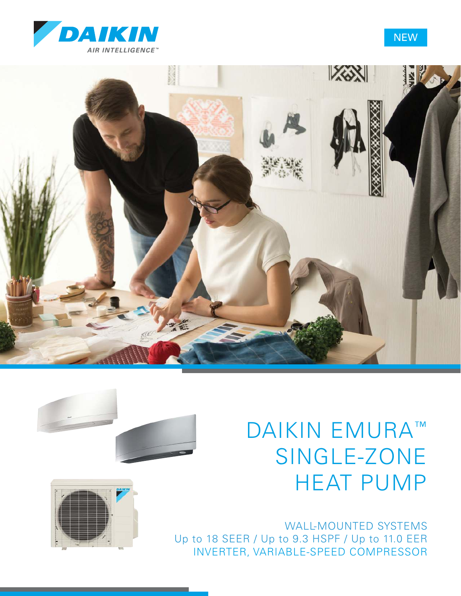







# DAIKIN EMURA™ SINGLE-ZONE HEAT PUMP

WALL-MOUNTED SYSTEMS Up to 18 SEER / Up to 9.3 HSPF / Up to 11.0 EER INVERTER, VARIABLE-SPEED COMPRESSOR

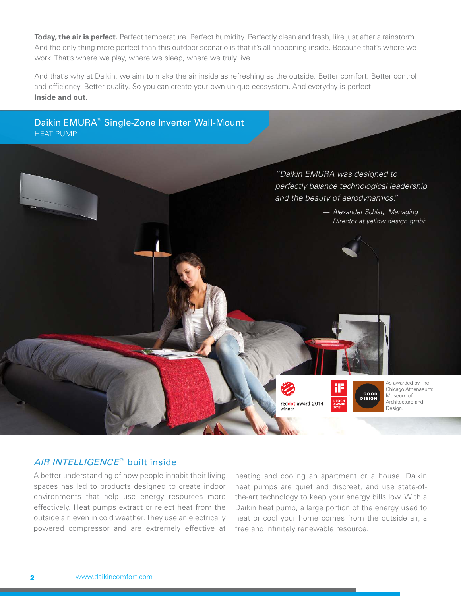**Today, the air is perfect.** Perfect temperature. Perfect humidity. Perfectly clean and fresh, like just after a rainstorm. And the only thing more perfect than this outdoor scenario is that it's all happening inside. Because that's where we work. That's where we play, where we sleep, where we truly live.

And that's why at Daikin, we aim to make the air inside as refreshing as the outside. Better comfort. Better control and efficiency. Better quality. So you can create your own unique ecosystem. And everyday is perfect. **Inside and out.**

Daikin EMURA™ Single-Zone Inverter Wall-Mount HEAT PUMP



#### AIR INTELLIGENCE™ built inside

A better understanding of how people inhabit their living spaces has led to products designed to create indoor environments that help use energy resources more effectively. Heat pumps extract or reject heat from the outside air, even in cold weather. They use an electrically powered compressor and are extremely effective at

heating and cooling an apartment or a house. Daikin heat pumps are quiet and discreet, and use state-ofthe-art technology to keep your energy bills low. With a Daikin heat pump, a large portion of the energy used to heat or cool your home comes from the outside air, a free and infinitely renewable resource.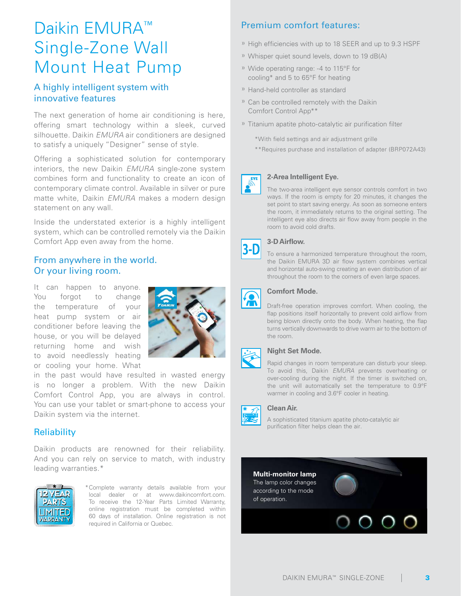## Daikin EMURA™ Single-Zone Wall Mount Heat Pump

#### A highly intelligent system with innovative features

The next generation of home air conditioning is here, offering smart technology within a sleek, curved silhouette. Daikin *EMURA* air conditioners are designed to satisfy a uniquely "Designer" sense of style.

Offering a sophisticated solution for contemporary interiors, the new Daikin EMURA single-zone system combines form and functionality to create an icon of contemporary climate control. Available in silver or pure matte white, Daikin EMURA makes a modern design statement on any wall.

Inside the understated exterior is a highly intelligent system, which can be controlled remotely via the Daikin Comfort App even away from the home.

#### From anywhere in the world. Or your living room.

It can happen to anyone. You forgot to change the temperature of your heat pump system or air conditioner before leaving the house, or you will be delayed returning home and wish to avoid needlessly heating or cooling your home. What



in the past would have resulted in wasted energy is no longer a problem. With the new Daikin Comfort Control App, you are always in control. You can use your tablet or smart-phone to access your Daikin system via the internet.

#### **Reliability**

Daikin products are renowned for their reliability. And you can rely on service to match, with industry leading warranties.\*



\* Complete warranty details available from your local dealer or at www.daikincomfort.com. To receive the 12-Year Parts Limited Warranty, online registration must be completed within 60 days of installation. Online registration is not required in California or Quebec.

### Premium comfort features:

- » High efficiencies with up to 18 SEER and up to 9.3 HSPF
- » Whisper quiet sound levels, down to 19 dB(A)
- » Wide operating range: -4 to 115°F for cooling\* and 5 to 65°F for heating
- » Hand-held controller as standard
- » Can be controlled remotely with the Daikin Comfort Control App\*\*
- » Titanium apatite photo-catalytic air purification filter
	- \*With field settings and air adjustment grille
	- \*\*Requires purchase and installation of adapter (BRP072A43)

#### **2-Area Intelligent Eye.**

The two-area intelligent eye sensor controls comfort in two ways. If the room is empty for 20 minutes, it changes the set point to start saving energy. As soon as someone enters the room, it immediately returns to the original setting. The intelligent eye also directs air flow away from people in the room to avoid cold drafts.



#### **3-D Airflow.**

To ensure a harmonized temperature throughout the room, the Daikin EMURA 3D air flow system combines vertical and horizontal auto-swing creating an even distribution of air throughout the room to the corners of even large spaces.



#### **Comfort Mode.**

Draft-free operation improves comfort. When cooling, the flap positions itself horizontally to prevent cold airflow from being blown directly onto the body. When heating, the flap turns vertically downwards to drive warm air to the bottom of the room.



#### **Night Set Mode.**

Rapid changes in room temperature can disturb your sleep. To avoid this, Daikin EMURA prevents overheating or over-cooling during the night. If the timer is switched on, the unit will automatically set the temperature to 0.9°F warmer in cooling and 3.6°F cooler in heating.



#### **Clean Air.**

A sophisticated titanium apatite photo-catalytic air purification filter helps clean the air.



 $\circ \circ \circ \circ$